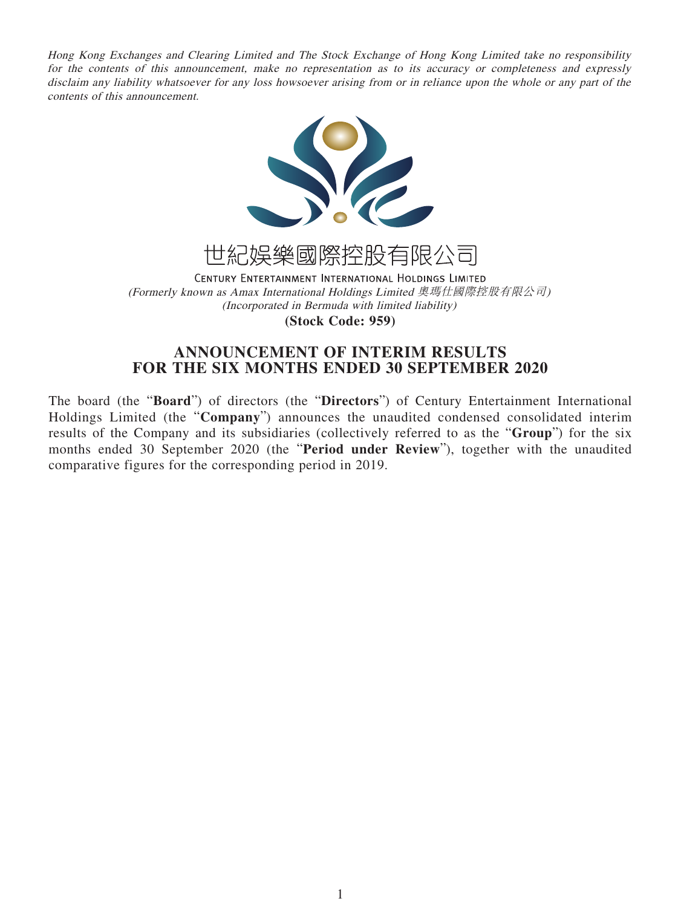Hong Kong Exchanges and Clearing Limited and The Stock Exchange of Hong Kong Limited take no responsibility for the contents of this announcement, make no representation as to its accuracy or completeness and expressly disclaim any liability whatsoever for any loss howsoever arising from or in reliance upon the whole or any part of the contents of this announcement.





CENTURY ENTERTAINMENT INTERNATIONAL HOLDINGS LIMITED (Formerly known as Amax International Holdings Limited 奧瑪仕國際控股有限公司) (Incorporated in Bermuda with limited liability) **(Stock Code: 959)**

# **ANNOUNCEMENT OF INTERIM RESULTS FOR THE SIX MONTHS ENDED 30 SEPTEMBER 2020**

The board (the "**Board**") of directors (the "**Directors**") of Century Entertainment International Holdings Limited (the "**Company**") announces the unaudited condensed consolidated interim results of the Company and its subsidiaries (collectively referred to as the "**Group**") for the six months ended 30 September 2020 (the "**Period under Review**"), together with the unaudited comparative figures for the corresponding period in 2019.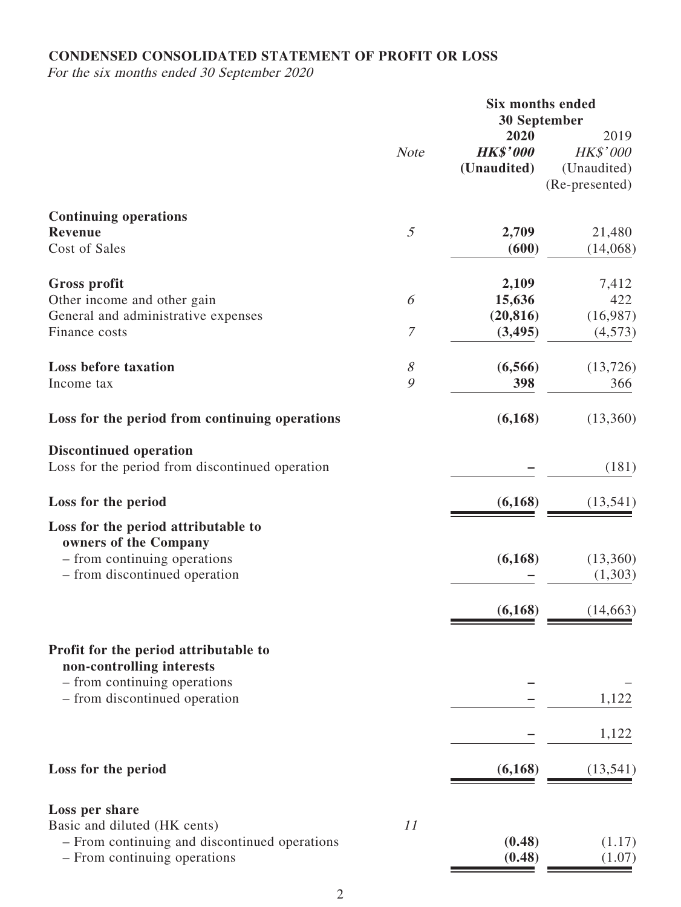# **CONDENSED CONSOLIDATED STATEMENT OF PROFIT OR LOSS**

For the six months ended 30 September 2020

|                                                 | <b>Six months ended</b> |                     |                |
|-------------------------------------------------|-------------------------|---------------------|----------------|
|                                                 |                         | <b>30 September</b> |                |
|                                                 |                         | 2020                | 2019           |
|                                                 | <b>Note</b>             | <b>HK\$'000</b>     | HK\$'000       |
|                                                 |                         | (Unaudited)         | (Unaudited)    |
|                                                 |                         |                     | (Re-presented) |
| <b>Continuing operations</b>                    |                         |                     |                |
| <b>Revenue</b>                                  | $\mathfrak{I}$          | 2,709               | 21,480         |
| Cost of Sales                                   |                         | (600)               | (14,068)       |
| Gross profit                                    |                         | 2,109               | 7,412          |
| Other income and other gain                     | 6                       | 15,636              | 422            |
| General and administrative expenses             |                         | (20, 816)           | (16,987)       |
| Finance costs                                   | $\boldsymbol{7}$        | (3, 495)            | (4,573)        |
|                                                 |                         |                     |                |
| <b>Loss before taxation</b>                     | 8                       | (6,566)             | (13, 726)      |
| Income tax                                      | 9                       | 398                 | 366            |
|                                                 |                         |                     |                |
| Loss for the period from continuing operations  |                         | (6,168)             | (13,360)       |
| <b>Discontinued operation</b>                   |                         |                     |                |
| Loss for the period from discontinued operation |                         |                     | (181)          |
| Loss for the period                             |                         | (6,168)             | (13, 541)      |
| Loss for the period attributable to             |                         |                     |                |
| owners of the Company                           |                         |                     |                |
| - from continuing operations                    |                         | (6,168)             | (13,360)       |
| - from discontinued operation                   |                         |                     | (1,303)        |
|                                                 |                         | (6,168)             | (14, 663)      |
|                                                 |                         |                     |                |
| Profit for the period attributable to           |                         |                     |                |
| non-controlling interests                       |                         |                     |                |
| - from continuing operations                    |                         |                     |                |
| - from discontinued operation                   |                         |                     | 1,122          |
|                                                 |                         |                     | 1,122          |
| Loss for the period                             |                         | (6,168)             | (13, 541)      |
|                                                 |                         |                     |                |
| Loss per share                                  |                         |                     |                |
| Basic and diluted (HK cents)                    | 11                      |                     |                |
| - From continuing and discontinued operations   |                         | (0.48)              | (1.17)         |
| - From continuing operations                    |                         | (0.48)              | (1.07)         |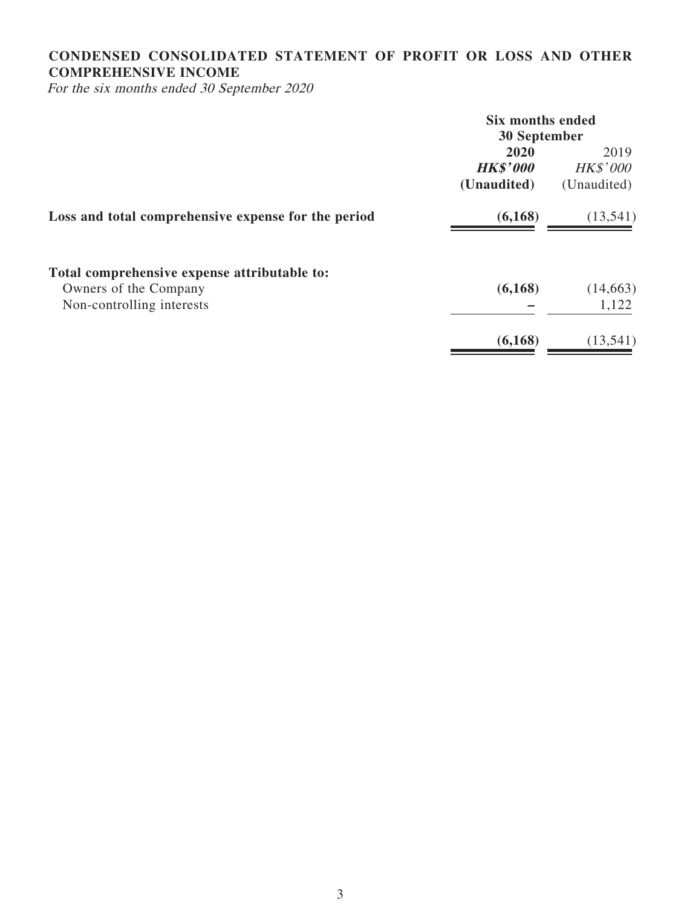# **CONDENSED CONSOLIDATED STATEMENT OF PROFIT OR LOSS AND OTHER COMPREHENSIVE INCOME**

For the six months ended 30 September 2020

|                                                     | <b>Six months ended</b> |                 |  |
|-----------------------------------------------------|-------------------------|-----------------|--|
|                                                     | 30 September            |                 |  |
|                                                     | 2020                    | 2019            |  |
|                                                     | <b>HK\$'000</b>         | <b>HK\$'000</b> |  |
|                                                     | (Unaudited)             | (Unaudited)     |  |
| Loss and total comprehensive expense for the period | (6,168)                 | (13, 541)       |  |
| Total comprehensive expense attributable to:        |                         |                 |  |
| Owners of the Company                               | (6,168)                 | (14, 663)       |  |
| Non-controlling interests                           |                         | 1,122           |  |
|                                                     | (6,168)                 | (13, 541)       |  |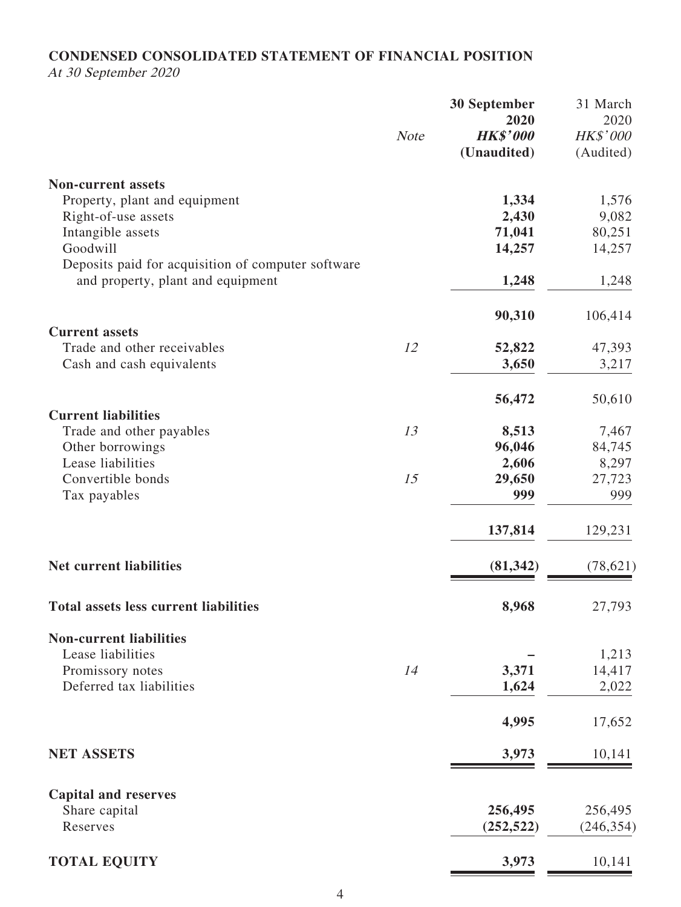# **CONDENSED CONSOLIDATED STATEMENT OF FINANCIAL POSITION**

At 30 September 2020

|                                                    | <b>Note</b> | <b>30 September</b><br>2020<br><b>HK\$'000</b><br>(Unaudited) | 31 March<br>2020<br>HK\$'000<br>(Audited) |
|----------------------------------------------------|-------------|---------------------------------------------------------------|-------------------------------------------|
| <b>Non-current assets</b>                          |             |                                                               |                                           |
| Property, plant and equipment                      |             | 1,334                                                         | 1,576                                     |
| Right-of-use assets                                |             | 2,430                                                         | 9,082                                     |
| Intangible assets                                  |             | 71,041                                                        | 80,251                                    |
| Goodwill                                           |             | 14,257                                                        | 14,257                                    |
| Deposits paid for acquisition of computer software |             |                                                               |                                           |
| and property, plant and equipment                  |             | 1,248                                                         | 1,248                                     |
|                                                    |             | 90,310                                                        | 106,414                                   |
| <b>Current assets</b>                              |             |                                                               |                                           |
| Trade and other receivables                        | 12          | 52,822                                                        | 47,393                                    |
| Cash and cash equivalents                          |             | 3,650                                                         | 3,217                                     |
|                                                    |             | 56,472                                                        | 50,610                                    |
| <b>Current liabilities</b>                         |             |                                                               |                                           |
| Trade and other payables                           | 13          | 8,513                                                         | 7,467                                     |
| Other borrowings<br>Lease liabilities              |             | 96,046                                                        | 84,745                                    |
| Convertible bonds                                  | 15          | 2,606<br>29,650                                               | 8,297<br>27,723                           |
| Tax payables                                       |             | 999                                                           | 999                                       |
|                                                    |             | 137,814                                                       | 129,231                                   |
| <b>Net current liabilities</b>                     |             | (81, 342)                                                     | (78, 621)                                 |
| <b>Total assets less current liabilities</b>       |             | 8,968                                                         | 27,793                                    |
| <b>Non-current liabilities</b>                     |             |                                                               |                                           |
| Lease liabilities                                  |             |                                                               | 1,213                                     |
| Promissory notes                                   | 14          | 3,371                                                         | 14,417                                    |
| Deferred tax liabilities                           |             | 1,624                                                         | 2,022                                     |
|                                                    |             | 4,995                                                         | 17,652                                    |
| <b>NET ASSETS</b>                                  |             | 3,973                                                         | 10,141                                    |
| <b>Capital and reserves</b>                        |             |                                                               |                                           |
| Share capital                                      |             | 256,495                                                       | 256,495                                   |
| Reserves                                           |             | (252, 522)                                                    | (246, 354)                                |
| <b>TOTAL EQUITY</b>                                |             | 3,973                                                         | 10,141                                    |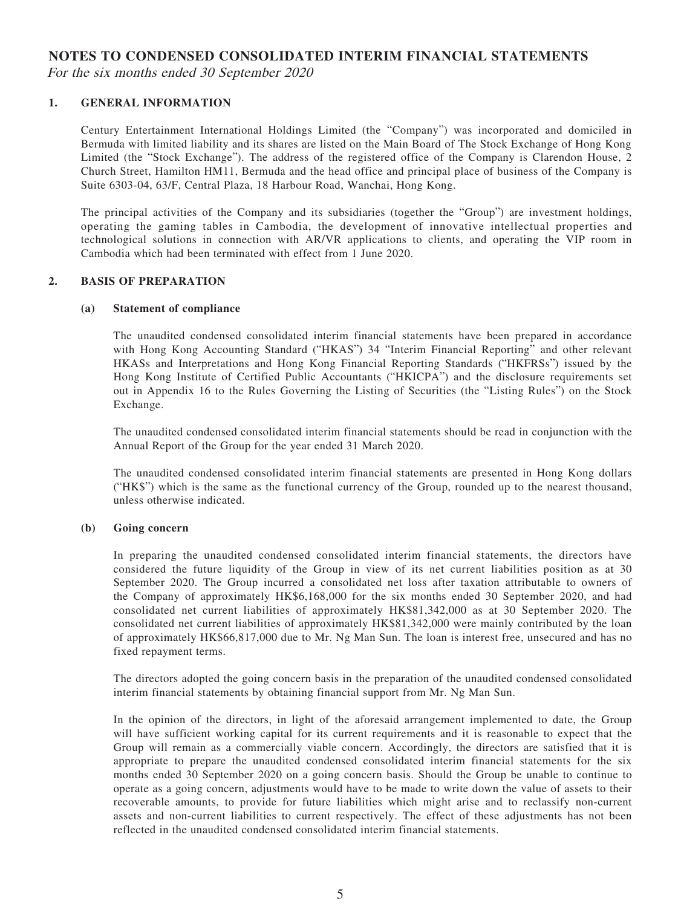### **NOTES TO CONDENSED CONSOLIDATED INTERIM FINANCIAL STATEMENTS**

For the six months ended 30 September 2020

#### **1. GENERAL INFORMATION**

Century Entertainment International Holdings Limited (the "Company") was incorporated and domiciled in Bermuda with limited liability and its shares are listed on the Main Board of The Stock Exchange of Hong Kong Limited (the "Stock Exchange"). The address of the registered office of the Company is Clarendon House, 2 Church Street, Hamilton HM11, Bermuda and the head office and principal place of business of the Company is Suite 6303-04, 63/F, Central Plaza, 18 Harbour Road, Wanchai, Hong Kong.

The principal activities of the Company and its subsidiaries (together the "Group") are investment holdings, operating the gaming tables in Cambodia, the development of innovative intellectual properties and technological solutions in connection with AR/VR applications to clients, and operating the VIP room in Cambodia which had been terminated with effect from 1 June 2020.

#### **2. BASIS OF PREPARATION**

#### **(a) Statement of compliance**

The unaudited condensed consolidated interim financial statements have been prepared in accordance with Hong Kong Accounting Standard ("HKAS") 34 "Interim Financial Reporting" and other relevant HKASs and Interpretations and Hong Kong Financial Reporting Standards ("HKFRSs") issued by the Hong Kong Institute of Certified Public Accountants ("HKICPA") and the disclosure requirements set out in Appendix 16 to the Rules Governing the Listing of Securities (the "Listing Rules") on the Stock Exchange.

The unaudited condensed consolidated interim financial statements should be read in conjunction with the Annual Report of the Group for the year ended 31 March 2020.

The unaudited condensed consolidated interim financial statements are presented in Hong Kong dollars ("HK\$") which is the same as the functional currency of the Group, rounded up to the nearest thousand, unless otherwise indicated.

#### **(b) Going concern**

In preparing the unaudited condensed consolidated interim financial statements, the directors have considered the future liquidity of the Group in view of its net current liabilities position as at 30 September 2020. The Group incurred a consolidated net loss after taxation attributable to owners of the Company of approximately HK\$6,168,000 for the six months ended 30 September 2020, and had consolidated net current liabilities of approximately HK\$81,342,000 as at 30 September 2020. The consolidated net current liabilities of approximately HK\$81,342,000 were mainly contributed by the loan of approximately HK\$66,817,000 due to Mr. Ng Man Sun. The loan is interest free, unsecured and has no fixed repayment terms.

The directors adopted the going concern basis in the preparation of the unaudited condensed consolidated interim financial statements by obtaining financial support from Mr. Ng Man Sun.

In the opinion of the directors, in light of the aforesaid arrangement implemented to date, the Group will have sufficient working capital for its current requirements and it is reasonable to expect that the Group will remain as a commercially viable concern. Accordingly, the directors are satisfied that it is appropriate to prepare the unaudited condensed consolidated interim financial statements for the six months ended 30 September 2020 on a going concern basis. Should the Group be unable to continue to operate as a going concern, adjustments would have to be made to write down the value of assets to their recoverable amounts, to provide for future liabilities which might arise and to reclassify non-current assets and non-current liabilities to current respectively. The effect of these adjustments has not been reflected in the unaudited condensed consolidated interim financial statements.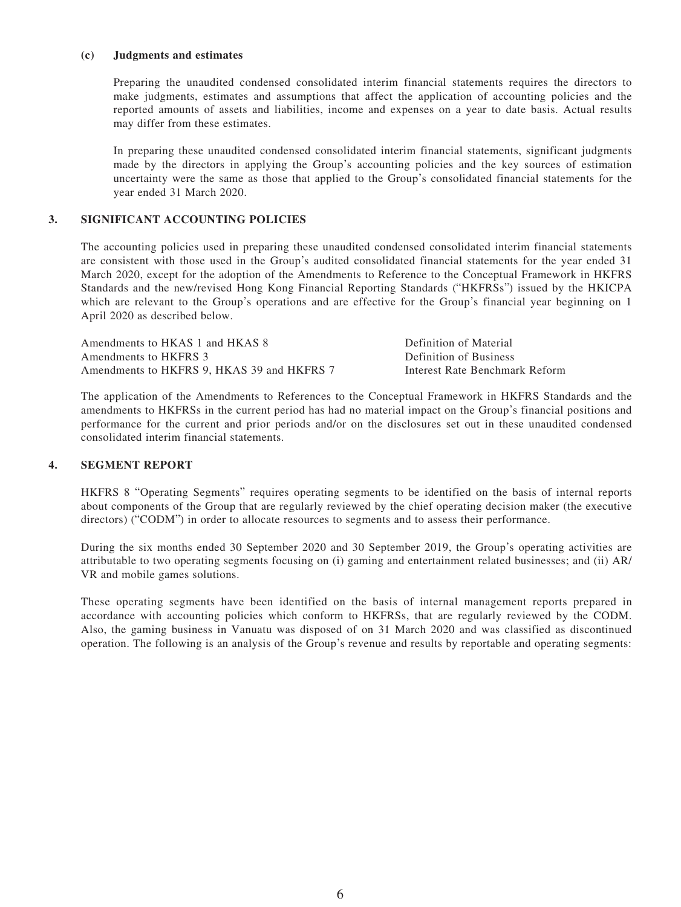#### **(c) Judgments and estimates**

Preparing the unaudited condensed consolidated interim financial statements requires the directors to make judgments, estimates and assumptions that affect the application of accounting policies and the reported amounts of assets and liabilities, income and expenses on a year to date basis. Actual results may differ from these estimates.

In preparing these unaudited condensed consolidated interim financial statements, significant judgments made by the directors in applying the Group's accounting policies and the key sources of estimation uncertainty were the same as those that applied to the Group's consolidated financial statements for the year ended 31 March 2020.

#### **3. SIGNIFICANT ACCOUNTING POLICIES**

The accounting policies used in preparing these unaudited condensed consolidated interim financial statements are consistent with those used in the Group's audited consolidated financial statements for the year ended 31 March 2020, except for the adoption of the Amendments to Reference to the Conceptual Framework in HKFRS Standards and the new/revised Hong Kong Financial Reporting Standards ("HKFRSs") issued by the HKICPA which are relevant to the Group's operations and are effective for the Group's financial year beginning on 1 April 2020 as described below.

| Amendments to HKAS 1 and HKAS 8            | Definition of Material         |
|--------------------------------------------|--------------------------------|
| Amendments to HKFRS 3                      | Definition of Business         |
| Amendments to HKFRS 9. HKAS 39 and HKFRS 7 | Interest Rate Benchmark Reform |

The application of the Amendments to References to the Conceptual Framework in HKFRS Standards and the amendments to HKFRSs in the current period has had no material impact on the Group's financial positions and performance for the current and prior periods and/or on the disclosures set out in these unaudited condensed consolidated interim financial statements.

#### **4. SEGMENT REPORT**

HKFRS 8 "Operating Segments" requires operating segments to be identified on the basis of internal reports about components of the Group that are regularly reviewed by the chief operating decision maker (the executive directors) ("CODM") in order to allocate resources to segments and to assess their performance.

During the six months ended 30 September 2020 and 30 September 2019, the Group's operating activities are attributable to two operating segments focusing on (i) gaming and entertainment related businesses; and (ii) AR/ VR and mobile games solutions.

These operating segments have been identified on the basis of internal management reports prepared in accordance with accounting policies which conform to HKFRSs, that are regularly reviewed by the CODM. Also, the gaming business in Vanuatu was disposed of on 31 March 2020 and was classified as discontinued operation. The following is an analysis of the Group's revenue and results by reportable and operating segments: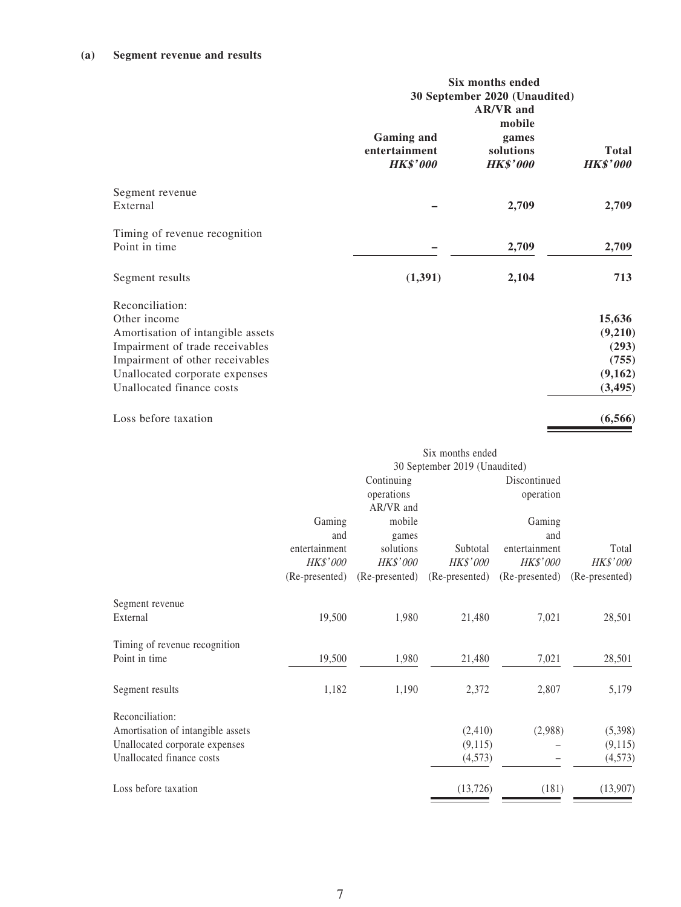### **(a) Segment revenue and results**

|                                                                                                                                                                                                           | <b>Six months ended</b><br>30 September 2020 (Unaudited)<br><b>AR/VR</b> and |                                                 |                                                            |  |
|-----------------------------------------------------------------------------------------------------------------------------------------------------------------------------------------------------------|------------------------------------------------------------------------------|-------------------------------------------------|------------------------------------------------------------|--|
|                                                                                                                                                                                                           | <b>Gaming and</b><br>entertainment<br><b>HK\$'000</b>                        | mobile<br>games<br>solutions<br><b>HK\$'000</b> | <b>Total</b><br><b>HK\$'000</b>                            |  |
| Segment revenue<br>External                                                                                                                                                                               |                                                                              | 2,709                                           | 2,709                                                      |  |
| Timing of revenue recognition<br>Point in time                                                                                                                                                            |                                                                              | 2,709                                           | 2,709                                                      |  |
| Segment results                                                                                                                                                                                           | (1, 391)                                                                     | 2,104                                           | 713                                                        |  |
| Reconciliation:<br>Other income<br>Amortisation of intangible assets<br>Impairment of trade receivables<br>Impairment of other receivables<br>Unallocated corporate expenses<br>Unallocated finance costs |                                                                              |                                                 | 15,636<br>(9,210)<br>(293)<br>(755)<br>(9,162)<br>(3, 495) |  |
| Loss before taxation                                                                                                                                                                                      |                                                                              |                                                 | (6,566)                                                    |  |

|                                   |                               |                 | Six months ended |                 |                |
|-----------------------------------|-------------------------------|-----------------|------------------|-----------------|----------------|
|                                   | 30 September 2019 (Unaudited) |                 |                  |                 |                |
|                                   |                               | Continuing      |                  | Discontinued    |                |
|                                   |                               | operations      |                  | operation       |                |
|                                   |                               | AR/VR and       |                  |                 |                |
|                                   | Gaming                        | mobile          |                  | Gaming          |                |
|                                   | and                           | games           |                  | and             |                |
|                                   | entertainment                 | solutions       | Subtotal         | entertainment   | Total          |
|                                   | <b>HK\$'000</b>               | <b>HK\$'000</b> | <b>HK\$'000</b>  | <b>HK\$'000</b> | HK\$'000       |
|                                   | (Re-presented)                | (Re-presented)  | (Re-presented)   | (Re-presented)  | (Re-presented) |
| Segment revenue                   |                               |                 |                  |                 |                |
| External                          | 19,500                        | 1,980           | 21,480           | 7,021           | 28,501         |
| Timing of revenue recognition     |                               |                 |                  |                 |                |
| Point in time                     | 19,500                        | 1,980           | 21,480           | 7,021           | 28,501         |
| Segment results                   | 1,182                         | 1,190           | 2,372            | 2,807           | 5,179          |
| Reconciliation:                   |                               |                 |                  |                 |                |
| Amortisation of intangible assets |                               |                 | (2, 410)         | (2,988)         | (5,398)        |
| Unallocated corporate expenses    |                               |                 | (9,115)          |                 | (9,115)        |
| Unallocated finance costs         |                               |                 | (4,573)          |                 | (4,573)        |
| Loss before taxation              |                               |                 | (13, 726)        | (181)           | (13,907)       |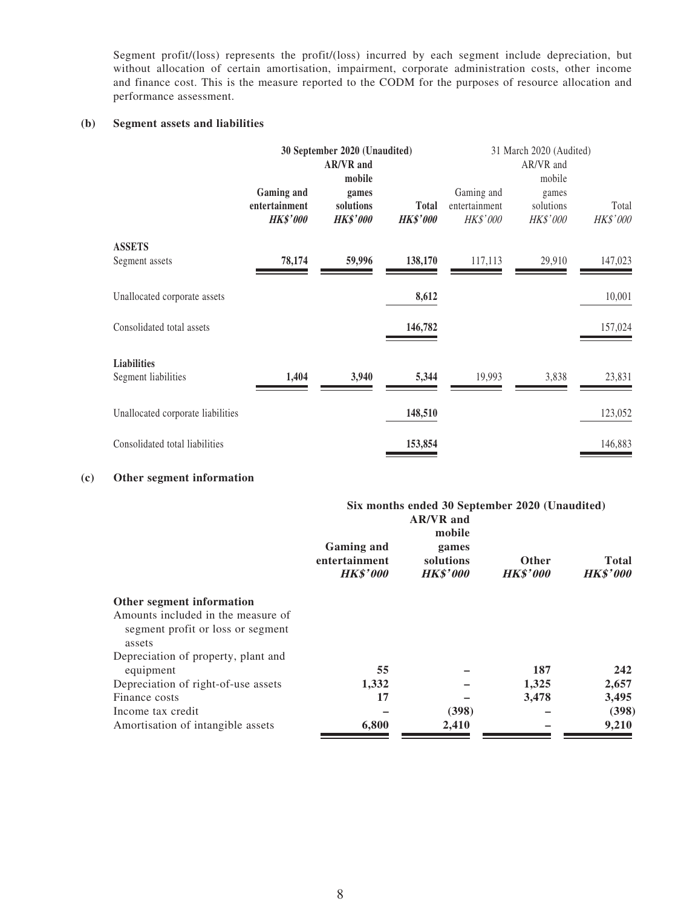Segment profit/(loss) represents the profit/(loss) incurred by each segment include depreciation, but without allocation of certain amortisation, impairment, corporate administration costs, other income and finance cost. This is the measure reported to the CODM for the purposes of resource allocation and performance assessment.

#### **(b) Segment assets and liabilities**

|                                           |                                                | 30 September 2020 (Unaudited)         |                                 |                                                | 31 March 2020 (Audited)        |                   |
|-------------------------------------------|------------------------------------------------|---------------------------------------|---------------------------------|------------------------------------------------|--------------------------------|-------------------|
|                                           |                                                | <b>AR/VR</b> and<br>mobile            |                                 |                                                | AR/VR and<br>mobile            |                   |
|                                           | Gaming and<br>entertainment<br><b>HK\$'000</b> | games<br>solutions<br><b>HK\$'000</b> | <b>Total</b><br><b>HK\$'000</b> | Gaming and<br>entertainment<br><b>HK\$'000</b> | games<br>solutions<br>HK\$'000 | Total<br>HK\$'000 |
| <b>ASSETS</b>                             |                                                |                                       |                                 |                                                |                                |                   |
| Segment assets                            | 78,174                                         | 59,996                                | 138,170                         | 117,113                                        | 29,910                         | 147,023           |
| Unallocated corporate assets              |                                                |                                       | 8,612                           |                                                |                                | 10,001            |
| Consolidated total assets                 |                                                |                                       | 146,782                         |                                                |                                | 157,024           |
| <b>Liabilities</b><br>Segment liabilities | 1,404                                          | 3,940                                 | 5,344                           | 19,993                                         | 3,838                          | 23,831            |
| Unallocated corporate liabilities         |                                                |                                       | 148,510                         |                                                |                                | 123,052           |
| Consolidated total liabilities            |                                                |                                       | 153,854                         |                                                |                                | 146,883           |

#### **(c) Other segment information**

|                                     | Six months ended 30 September 2020 (Unaudited)        |                                                                     |                                 |                                 |  |
|-------------------------------------|-------------------------------------------------------|---------------------------------------------------------------------|---------------------------------|---------------------------------|--|
|                                     | <b>Gaming and</b><br>entertainment<br><b>HK\$'000</b> | <b>AR/VR</b> and<br>mobile<br>games<br>solutions<br><b>HK\$'000</b> | <b>Other</b><br><b>HK\$'000</b> | <b>Total</b><br><b>HK\$'000</b> |  |
| Other segment information           |                                                       |                                                                     |                                 |                                 |  |
| Amounts included in the measure of  |                                                       |                                                                     |                                 |                                 |  |
| segment profit or loss or segment   |                                                       |                                                                     |                                 |                                 |  |
| assets                              |                                                       |                                                                     |                                 |                                 |  |
| Depreciation of property, plant and |                                                       |                                                                     |                                 |                                 |  |
| equipment                           | 55                                                    |                                                                     | 187                             | 242                             |  |
| Depreciation of right-of-use assets | 1,332                                                 |                                                                     | 1,325                           | 2,657                           |  |
| Finance costs                       | 17                                                    |                                                                     | 3,478                           | 3,495                           |  |
| Income tax credit                   |                                                       | (398)                                                               |                                 | (398)                           |  |
| Amortisation of intangible assets   | 6,800                                                 | 2,410                                                               |                                 | 9,210                           |  |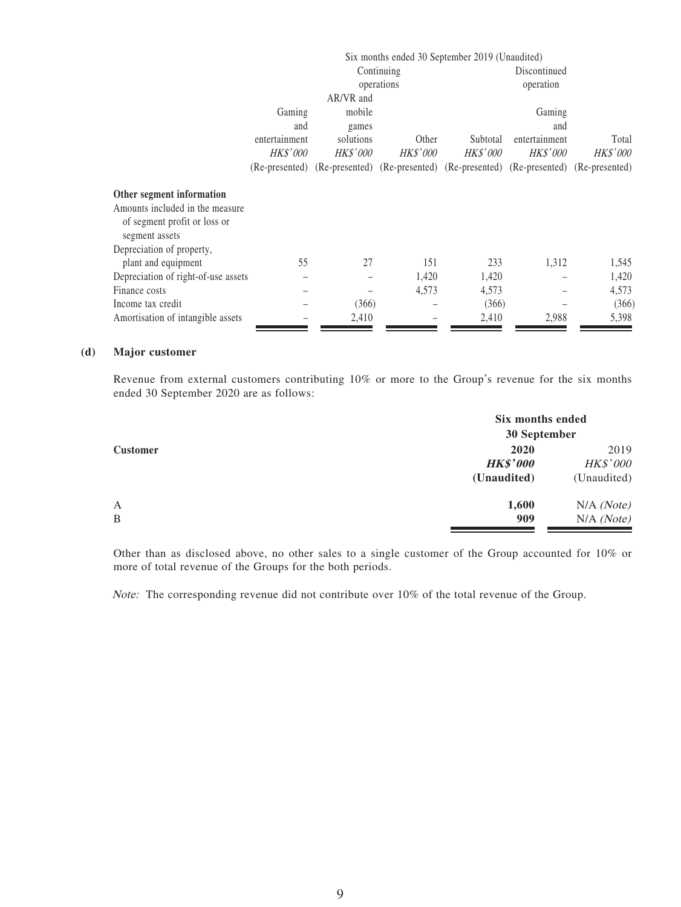|                                     |                 | Six months ended 30 September 2019 (Unaudited)                                            |                 |                 |                 |                 |
|-------------------------------------|-----------------|-------------------------------------------------------------------------------------------|-----------------|-----------------|-----------------|-----------------|
|                                     |                 |                                                                                           | Continuing      |                 | Discontinued    |                 |
|                                     |                 |                                                                                           | operations      |                 | operation       |                 |
|                                     |                 | AR/VR and                                                                                 |                 |                 |                 |                 |
|                                     | Gaming          | mobile                                                                                    |                 |                 | Gaming          |                 |
|                                     | and             | games                                                                                     |                 |                 | and             |                 |
|                                     | entertainment   | solutions                                                                                 | Other           | Subtotal        | entertainment   | Total           |
|                                     | <b>HK\$'000</b> | <b>HK\$'000</b>                                                                           | <i>HK\$'000</i> | <i>HK\$'000</i> | <i>HK\$'000</i> | <i>HK\$'000</i> |
|                                     |                 | (Re-presented) (Re-presented) (Re-presented) (Re-presented) (Re-presented) (Re-presented) |                 |                 |                 |                 |
| Other segment information           |                 |                                                                                           |                 |                 |                 |                 |
| Amounts included in the measure     |                 |                                                                                           |                 |                 |                 |                 |
| of segment profit or loss or        |                 |                                                                                           |                 |                 |                 |                 |
| segment assets                      |                 |                                                                                           |                 |                 |                 |                 |
| Depreciation of property,           |                 |                                                                                           |                 |                 |                 |                 |
| plant and equipment                 | 55              | 27                                                                                        | 151             | 233             | 1,312           | 1,545           |
| Depreciation of right-of-use assets |                 |                                                                                           | 1,420           | 1,420           |                 | 1,420           |
| Finance costs                       |                 |                                                                                           | 4,573           | 4,573           |                 | 4,573           |
| Income tax credit                   |                 | (366)                                                                                     |                 | (366)           |                 | (366)           |
| Amortisation of intangible assets   |                 | 2,410                                                                                     |                 | 2,410           | 2,988           | 5,398           |

#### **(d) Major customer**

Revenue from external customers contributing 10% or more to the Group's revenue for the six months ended 30 September 2020 are as follows:

|                   |                                        | Six months ended<br>30 September       |  |  |
|-------------------|----------------------------------------|----------------------------------------|--|--|
| <b>Customer</b>   | 2020<br><b>HK\$'000</b><br>(Unaudited) | 2019<br><b>HK\$'000</b><br>(Unaudited) |  |  |
| $\mathbf{A}$<br>B | 1,600<br>909                           | N/A (Note)<br>N/A (Note)               |  |  |

Other than as disclosed above, no other sales to a single customer of the Group accounted for 10% or more of total revenue of the Groups for the both periods.

Note: The corresponding revenue did not contribute over 10% of the total revenue of the Group.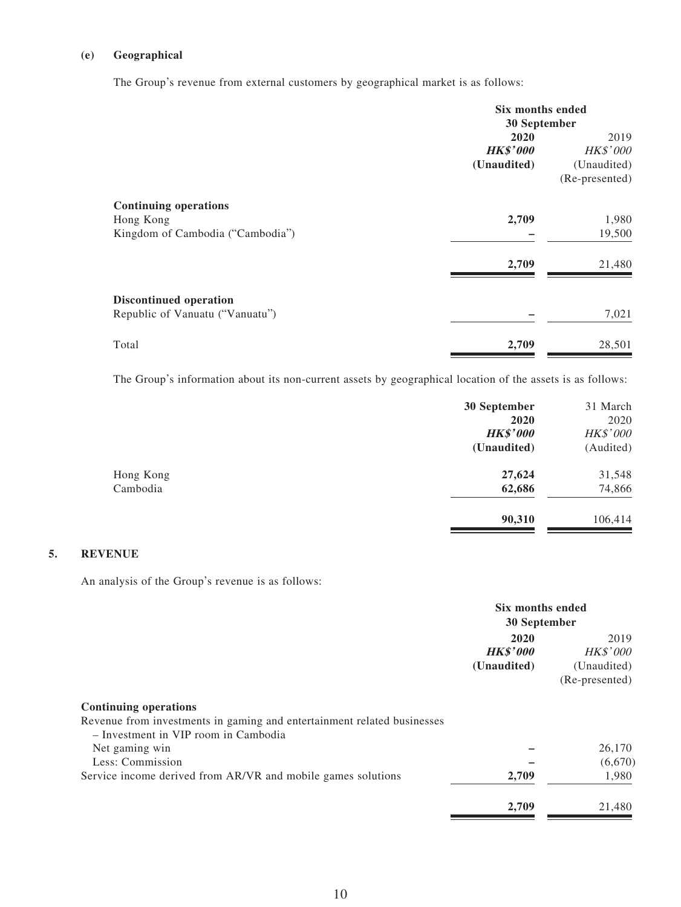#### **(e) Geographical**

The Group's revenue from external customers by geographical market is as follows:

|                                  | Six months ended<br>30 September |                |  |
|----------------------------------|----------------------------------|----------------|--|
|                                  | 2020                             | 2019           |  |
|                                  | <b>HK\$'000</b>                  | HK\$'000       |  |
|                                  | (Unaudited)                      | (Unaudited)    |  |
|                                  |                                  | (Re-presented) |  |
| <b>Continuing operations</b>     |                                  |                |  |
| Hong Kong                        | 2,709                            | 1,980          |  |
| Kingdom of Cambodia ("Cambodia") |                                  | 19,500         |  |
|                                  | 2,709                            | 21,480         |  |
| <b>Discontinued operation</b>    |                                  |                |  |
| Republic of Vanuatu ("Vanuatu")  |                                  | 7,021          |  |
| Total                            | 2,709                            | 28,501         |  |

The Group's information about its non-current assets by geographical location of the assets is as follows:

|           | 30 September    | 31 March  |
|-----------|-----------------|-----------|
|           | 2020            | 2020      |
|           | <b>HK\$'000</b> | HK\$'000  |
|           | (Unaudited)     | (Audited) |
| Hong Kong | 27,624          | 31,548    |
| Cambodia  | 62,686          | 74,866    |
|           | 90,310          | 106,414   |

### **5. REVENUE**

An analysis of the Group's revenue is as follows:

|                                                                                                                                                 | Six months ended                       |                                                          |
|-------------------------------------------------------------------------------------------------------------------------------------------------|----------------------------------------|----------------------------------------------------------|
|                                                                                                                                                 | 30 September                           |                                                          |
|                                                                                                                                                 | 2020<br><b>HK\$'000</b><br>(Unaudited) | 2019<br><b>HK\$'000</b><br>(Unaudited)<br>(Re-presented) |
| <b>Continuing operations</b><br>Revenue from investments in gaming and entertainment related businesses<br>- Investment in VIP room in Cambodia |                                        |                                                          |
| Net gaming win                                                                                                                                  |                                        | 26,170                                                   |
| Less: Commission                                                                                                                                |                                        | (6,670)                                                  |
| Service income derived from AR/VR and mobile games solutions                                                                                    | 2,709                                  | 1,980                                                    |
|                                                                                                                                                 | 2,709                                  | 21,480                                                   |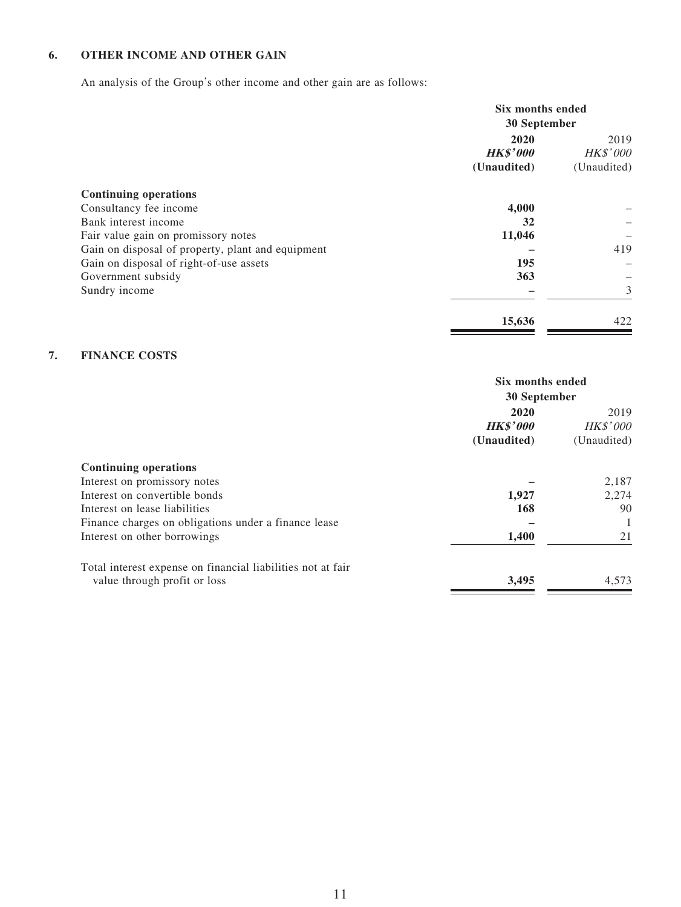### **6. OTHER INCOME AND OTHER GAIN**

An analysis of the Group's other income and other gain are as follows:

|                                                   | Six months ended<br>30 September       |                                        |
|---------------------------------------------------|----------------------------------------|----------------------------------------|
|                                                   | 2020<br><b>HK\$'000</b><br>(Unaudited) | 2019<br><b>HK\$'000</b><br>(Unaudited) |
| <b>Continuing operations</b>                      |                                        |                                        |
| Consultancy fee income                            | 4,000                                  |                                        |
| Bank interest income                              | 32                                     |                                        |
| Fair value gain on promissory notes               | 11,046                                 |                                        |
| Gain on disposal of property, plant and equipment |                                        | 419                                    |
| Gain on disposal of right-of-use assets           | 195                                    |                                        |
| Government subsidy                                | 363                                    |                                        |
| Sundry income                                     |                                        | 3                                      |
|                                                   | 15,636                                 | 422                                    |

### **7. FINANCE COSTS**

|                                                             | Six months ended<br>30 September |                 |
|-------------------------------------------------------------|----------------------------------|-----------------|
|                                                             |                                  |                 |
|                                                             | 2020                             | 2019            |
|                                                             | <b>HK\$'000</b>                  | <i>HK\$'000</i> |
|                                                             | (Unaudited)                      | (Unaudited)     |
| <b>Continuing operations</b>                                |                                  |                 |
| Interest on promissory notes                                |                                  | 2,187           |
| Interest on convertible bonds                               | 1,927                            | 2,274           |
| Interest on lease liabilities                               | 168                              | 90              |
| Finance charges on obligations under a finance lease        |                                  |                 |
| Interest on other borrowings                                | 1,400                            | 21              |
| Total interest expense on financial liabilities not at fair |                                  |                 |
| value through profit or loss                                | 3,495                            | 4,573           |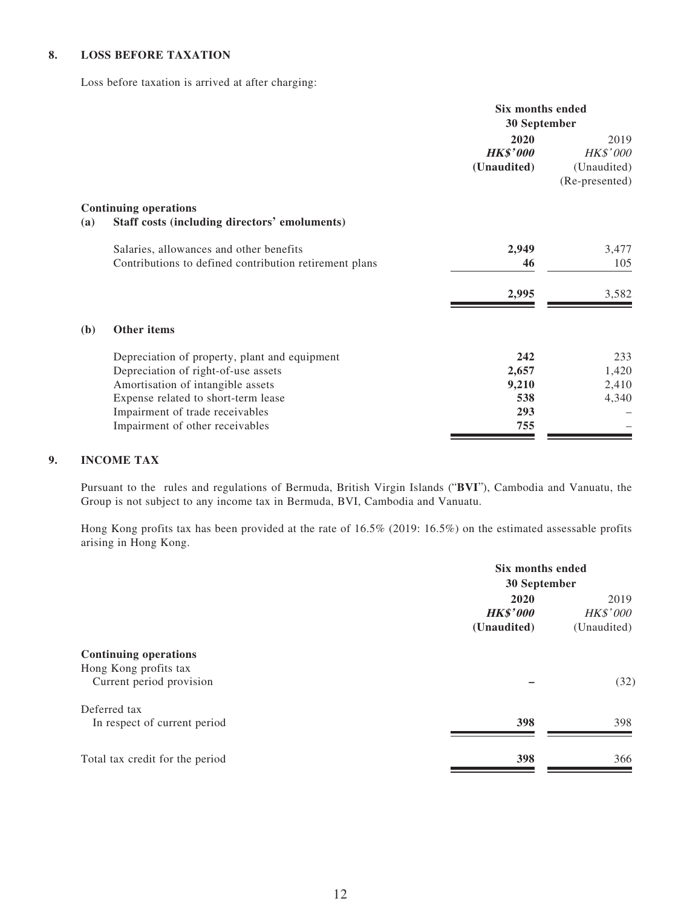#### **8. LOSS BEFORE TAXATION**

Loss before taxation is arrived at after charging:

|     |                                                                                                   | Six months ended<br>30 September       |                                                   |
|-----|---------------------------------------------------------------------------------------------------|----------------------------------------|---------------------------------------------------|
|     |                                                                                                   | 2020<br><b>HK\$'000</b><br>(Unaudited) | 2019<br>HK\$'000<br>(Unaudited)<br>(Re-presented) |
| (a) | <b>Continuing operations</b><br>Staff costs (including directors' emoluments)                     |                                        |                                                   |
|     | Salaries, allowances and other benefits<br>Contributions to defined contribution retirement plans | 2,949<br>46                            | 3,477<br>105                                      |
|     |                                                                                                   | 2,995                                  | 3,582                                             |
| (b) | Other items                                                                                       |                                        |                                                   |
|     | Depreciation of property, plant and equipment                                                     | 242                                    | 233                                               |
|     | Depreciation of right-of-use assets                                                               | 2,657                                  | 1,420                                             |
|     | Amortisation of intangible assets                                                                 | 9,210                                  | 2,410                                             |
|     | Expense related to short-term lease                                                               | 538                                    | 4,340                                             |
|     | Impairment of trade receivables                                                                   | 293                                    |                                                   |
|     | Impairment of other receivables                                                                   | 755                                    |                                                   |

#### **9. INCOME TAX**

Pursuant to the rules and regulations of Bermuda, British Virgin Islands ("**BVI**"), Cambodia and Vanuatu, the Group is not subject to any income tax in Bermuda, BVI, Cambodia and Vanuatu.

Hong Kong profits tax has been provided at the rate of 16.5% (2019: 16.5%) on the estimated assessable profits arising in Hong Kong.

| Six months ended<br>30 September |      |
|----------------------------------|------|
|                                  |      |
|                                  |      |
|                                  | (32) |
|                                  |      |
| 398                              | 398  |
| 398                              | 366  |
|                                  |      |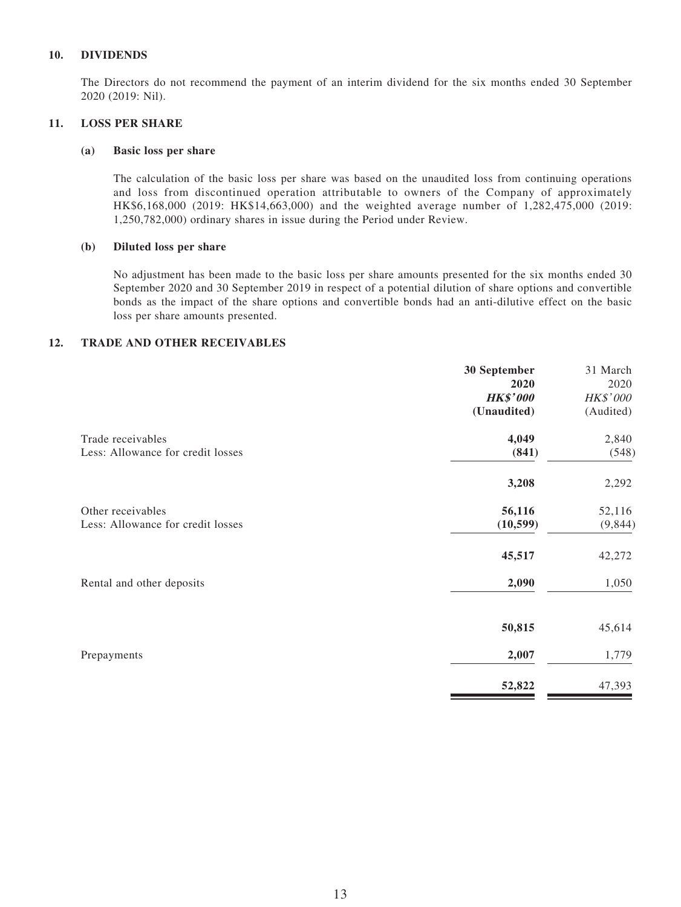#### **10. DIVIDENDS**

The Directors do not recommend the payment of an interim dividend for the six months ended 30 September 2020 (2019: Nil).

#### **11. LOSS PER SHARE**

#### **(a) Basic loss per share**

The calculation of the basic loss per share was based on the unaudited loss from continuing operations and loss from discontinued operation attributable to owners of the Company of approximately HK\$6,168,000 (2019: HK\$14,663,000) and the weighted average number of 1,282,475,000 (2019: 1,250,782,000) ordinary shares in issue during the Period under Review.

#### **(b) Diluted loss per share**

No adjustment has been made to the basic loss per share amounts presented for the six months ended 30 September 2020 and 30 September 2019 in respect of a potential dilution of share options and convertible bonds as the impact of the share options and convertible bonds had an anti-dilutive effect on the basic loss per share amounts presented.

#### **12. TRADE AND OTHER RECEIVABLES**

|                                   | 30 September    | 31 March        |
|-----------------------------------|-----------------|-----------------|
|                                   | 2020            | 2020            |
|                                   | <b>HK\$'000</b> | <b>HK\$'000</b> |
|                                   | (Unaudited)     | (Audited)       |
| Trade receivables                 | 4,049           | 2,840           |
| Less: Allowance for credit losses | (841)           | (548)           |
|                                   | 3,208           | 2,292           |
| Other receivables                 | 56,116          | 52,116          |
| Less: Allowance for credit losses | (10, 599)       | (9, 844)        |
|                                   | 45,517          | 42,272          |
| Rental and other deposits         | 2,090           | 1,050           |
|                                   | 50,815          | 45,614          |
| Prepayments                       | 2,007           | 1,779           |
|                                   | 52,822          | 47,393          |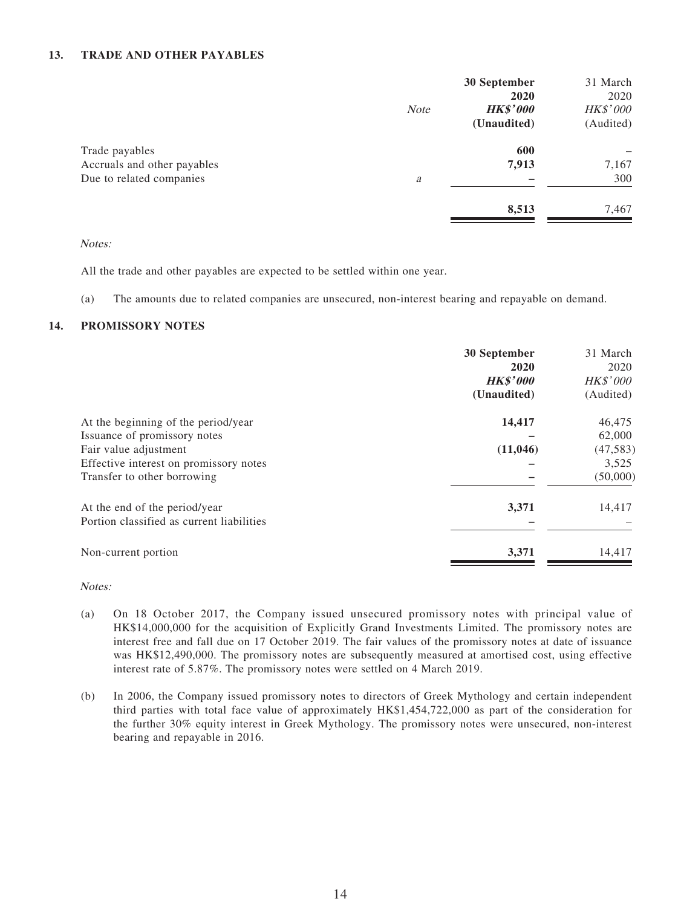#### **13. TRADE AND OTHER PAYABLES**

|                             |             | 30 September    | 31 March  |
|-----------------------------|-------------|-----------------|-----------|
|                             |             | 2020            | 2020      |
|                             | <b>Note</b> | <b>HK\$'000</b> | HK\$'000  |
|                             |             | (Unaudited)     | (Audited) |
| Trade payables              |             | 600             |           |
| Accruals and other payables |             | 7,913           | 7,167     |
| Due to related companies    | a           |                 | 300       |
|                             |             | 8,513           | 7,467     |

Notes:

All the trade and other payables are expected to be settled within one year.

(a) The amounts due to related companies are unsecured, non-interest bearing and repayable on demand.

#### **14. PROMISSORY NOTES**

|                                           | 30 September<br>2020<br><b>HK\$'000</b><br>(Unaudited) | 31 March<br>2020<br><b>HK\$'000</b><br>(Audited) |
|-------------------------------------------|--------------------------------------------------------|--------------------------------------------------|
| At the beginning of the period/year       | 14,417                                                 | 46,475                                           |
| Issuance of promissory notes              |                                                        | 62,000                                           |
| Fair value adjustment                     | (11, 046)                                              | (47, 583)                                        |
| Effective interest on promissory notes    |                                                        | 3,525                                            |
| Transfer to other borrowing               |                                                        | (50,000)                                         |
| At the end of the period/year             | 3,371                                                  | 14,417                                           |
| Portion classified as current liabilities |                                                        |                                                  |
| Non-current portion                       | 3,371                                                  | 14,417                                           |

Notes:

- (a) On 18 October 2017, the Company issued unsecured promissory notes with principal value of HK\$14,000,000 for the acquisition of Explicitly Grand Investments Limited. The promissory notes are interest free and fall due on 17 October 2019. The fair values of the promissory notes at date of issuance was HK\$12,490,000. The promissory notes are subsequently measured at amortised cost, using effective interest rate of 5.87%. The promissory notes were settled on 4 March 2019.
- (b) In 2006, the Company issued promissory notes to directors of Greek Mythology and certain independent third parties with total face value of approximately HK\$1,454,722,000 as part of the consideration for the further 30% equity interest in Greek Mythology. The promissory notes were unsecured, non-interest bearing and repayable in 2016.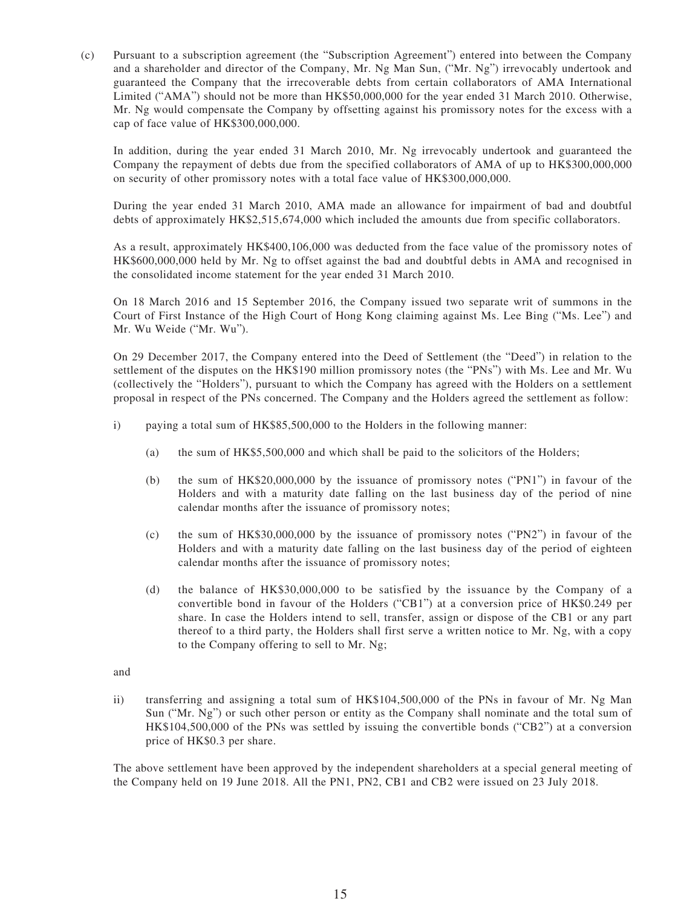(c) Pursuant to a subscription agreement (the "Subscription Agreement") entered into between the Company and a shareholder and director of the Company, Mr. Ng Man Sun, ("Mr. Ng") irrevocably undertook and guaranteed the Company that the irrecoverable debts from certain collaborators of AMA International Limited ("AMA") should not be more than HK\$50,000,000 for the year ended 31 March 2010. Otherwise, Mr. Ng would compensate the Company by offsetting against his promissory notes for the excess with a cap of face value of HK\$300,000,000.

In addition, during the year ended 31 March 2010, Mr. Ng irrevocably undertook and guaranteed the Company the repayment of debts due from the specified collaborators of AMA of up to HK\$300,000,000 on security of other promissory notes with a total face value of HK\$300,000,000.

During the year ended 31 March 2010, AMA made an allowance for impairment of bad and doubtful debts of approximately HK\$2,515,674,000 which included the amounts due from specific collaborators.

As a result, approximately HK\$400,106,000 was deducted from the face value of the promissory notes of HK\$600,000,000 held by Mr. Ng to offset against the bad and doubtful debts in AMA and recognised in the consolidated income statement for the year ended 31 March 2010.

On 18 March 2016 and 15 September 2016, the Company issued two separate writ of summons in the Court of First Instance of the High Court of Hong Kong claiming against Ms. Lee Bing ("Ms. Lee") and Mr. Wu Weide ("Mr. Wu").

On 29 December 2017, the Company entered into the Deed of Settlement (the "Deed") in relation to the settlement of the disputes on the HK\$190 million promissory notes (the "PNs") with Ms. Lee and Mr. Wu (collectively the "Holders"), pursuant to which the Company has agreed with the Holders on a settlement proposal in respect of the PNs concerned. The Company and the Holders agreed the settlement as follow:

- i) paying a total sum of HK\$85,500,000 to the Holders in the following manner:
	- (a) the sum of HK\$5,500,000 and which shall be paid to the solicitors of the Holders;
	- (b) the sum of HK\$20,000,000 by the issuance of promissory notes ("PN1") in favour of the Holders and with a maturity date falling on the last business day of the period of nine calendar months after the issuance of promissory notes;
	- (c) the sum of HK\$30,000,000 by the issuance of promissory notes ("PN2") in favour of the Holders and with a maturity date falling on the last business day of the period of eighteen calendar months after the issuance of promissory notes;
	- (d) the balance of HK\$30,000,000 to be satisfied by the issuance by the Company of a convertible bond in favour of the Holders ("CB1") at a conversion price of HK\$0.249 per share. In case the Holders intend to sell, transfer, assign or dispose of the CB1 or any part thereof to a third party, the Holders shall first serve a written notice to Mr. Ng, with a copy to the Company offering to sell to Mr. Ng;

and

ii) transferring and assigning a total sum of HK\$104,500,000 of the PNs in favour of Mr. Ng Man Sun ("Mr. Ng") or such other person or entity as the Company shall nominate and the total sum of HK\$104,500,000 of the PNs was settled by issuing the convertible bonds ("CB2") at a conversion price of HK\$0.3 per share.

The above settlement have been approved by the independent shareholders at a special general meeting of the Company held on 19 June 2018. All the PN1, PN2, CB1 and CB2 were issued on 23 July 2018.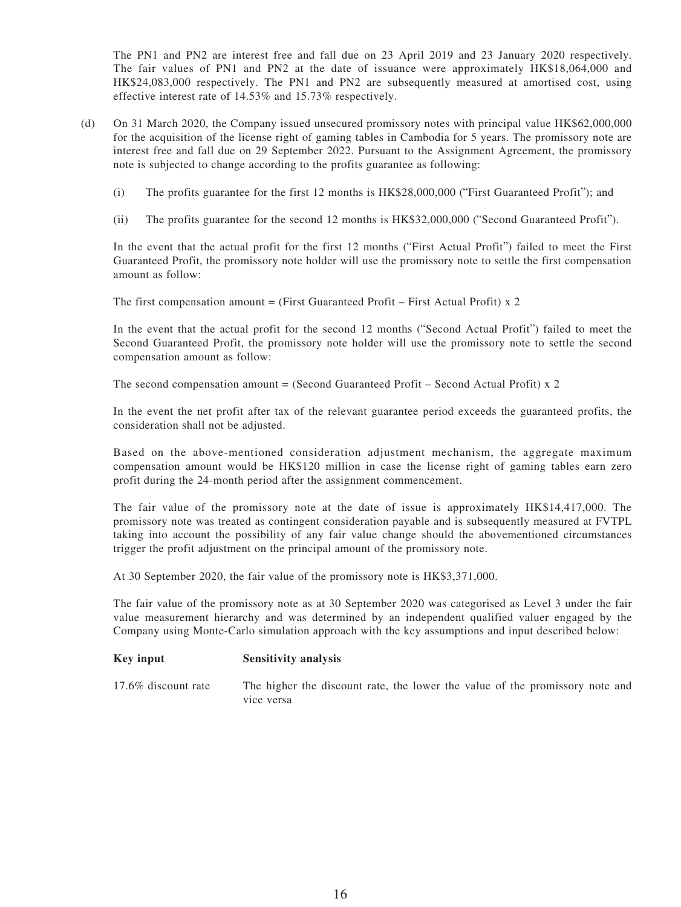The PN1 and PN2 are interest free and fall due on 23 April 2019 and 23 January 2020 respectively. The fair values of PN1 and PN2 at the date of issuance were approximately HK\$18,064,000 and HK\$24,083,000 respectively. The PN1 and PN2 are subsequently measured at amortised cost, using effective interest rate of 14.53% and 15.73% respectively.

- (d) On 31 March 2020, the Company issued unsecured promissory notes with principal value HK\$62,000,000 for the acquisition of the license right of gaming tables in Cambodia for 5 years. The promissory note are interest free and fall due on 29 September 2022. Pursuant to the Assignment Agreement, the promissory note is subjected to change according to the profits guarantee as following:
	- (i) The profits guarantee for the first 12 months is HK\$28,000,000 ("First Guaranteed Profit"); and
	- (ii) The profits guarantee for the second 12 months is HK\$32,000,000 ("Second Guaranteed Profit").

In the event that the actual profit for the first 12 months ("First Actual Profit") failed to meet the First Guaranteed Profit, the promissory note holder will use the promissory note to settle the first compensation amount as follow:

The first compensation amount = (First Guaranteed Profit – First Actual Profit) x 2

In the event that the actual profit for the second 12 months ("Second Actual Profit") failed to meet the Second Guaranteed Profit, the promissory note holder will use the promissory note to settle the second compensation amount as follow:

The second compensation amount = (Second Guaranteed Profit – Second Actual Profit) x 2

In the event the net profit after tax of the relevant guarantee period exceeds the guaranteed profits, the consideration shall not be adjusted.

Based on the above-mentioned consideration adjustment mechanism, the aggregate maximum compensation amount would be HK\$120 million in case the license right of gaming tables earn zero profit during the 24-month period after the assignment commencement.

The fair value of the promissory note at the date of issue is approximately HK\$14,417,000. The promissory note was treated as contingent consideration payable and is subsequently measured at FVTPL taking into account the possibility of any fair value change should the abovementioned circumstances trigger the profit adjustment on the principal amount of the promissory note.

At 30 September 2020, the fair value of the promissory note is HK\$3,371,000.

The fair value of the promissory note as at 30 September 2020 was categorised as Level 3 under the fair value measurement hierarchy and was determined by an independent qualified valuer engaged by the Company using Monte-Carlo simulation approach with the key assumptions and input described below:

#### **Key input Sensitivity analysis**

17.6% discount rate The higher the discount rate, the lower the value of the promissory note and vice versa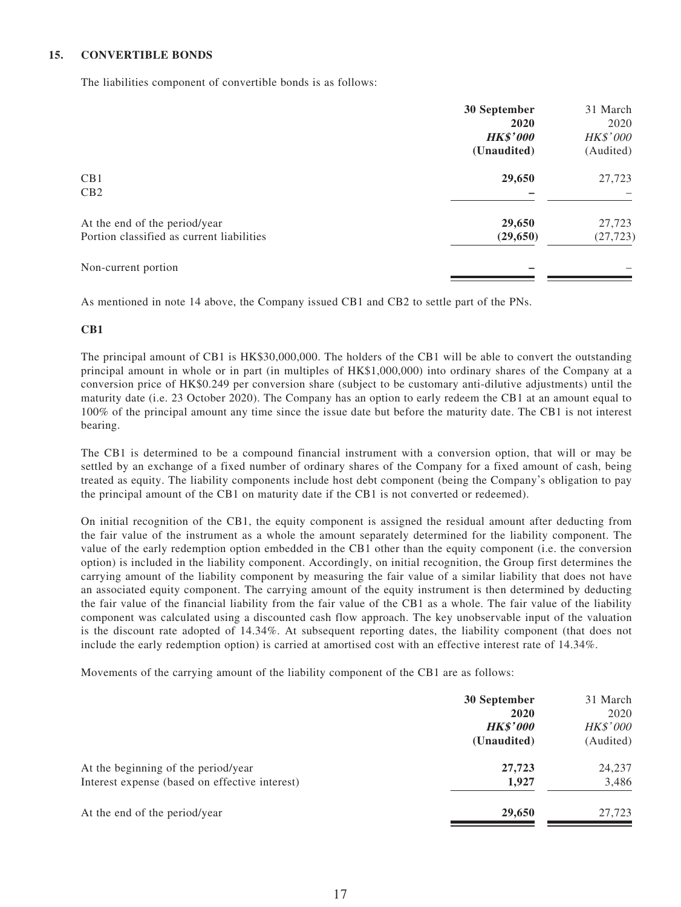#### **15. CONVERTIBLE BONDS**

The liabilities component of convertible bonds is as follows:

|                                           | 30 September    | 31 March        |
|-------------------------------------------|-----------------|-----------------|
|                                           | 2020            | 2020            |
|                                           | <b>HK\$'000</b> | <b>HK\$'000</b> |
|                                           | (Unaudited)     | (Audited)       |
| CB1                                       | 29,650          | 27,723          |
| CB2                                       |                 |                 |
| At the end of the period/year             | 29,650          | 27,723          |
| Portion classified as current liabilities | (29,650)        | (27, 723)       |
| Non-current portion                       |                 |                 |

As mentioned in note 14 above, the Company issued CB1 and CB2 to settle part of the PNs.

#### **CB1**

The principal amount of CB1 is HK\$30,000,000. The holders of the CB1 will be able to convert the outstanding principal amount in whole or in part (in multiples of HK\$1,000,000) into ordinary shares of the Company at a conversion price of HK\$0.249 per conversion share (subject to be customary anti-dilutive adjustments) until the maturity date (i.e. 23 October 2020). The Company has an option to early redeem the CB1 at an amount equal to 100% of the principal amount any time since the issue date but before the maturity date. The CB1 is not interest bearing.

The CB1 is determined to be a compound financial instrument with a conversion option, that will or may be settled by an exchange of a fixed number of ordinary shares of the Company for a fixed amount of cash, being treated as equity. The liability components include host debt component (being the Company's obligation to pay the principal amount of the CB1 on maturity date if the CB1 is not converted or redeemed).

On initial recognition of the CB1, the equity component is assigned the residual amount after deducting from the fair value of the instrument as a whole the amount separately determined for the liability component. The value of the early redemption option embedded in the CB1 other than the equity component (i.e. the conversion option) is included in the liability component. Accordingly, on initial recognition, the Group first determines the carrying amount of the liability component by measuring the fair value of a similar liability that does not have an associated equity component. The carrying amount of the equity instrument is then determined by deducting the fair value of the financial liability from the fair value of the CB1 as a whole. The fair value of the liability component was calculated using a discounted cash flow approach. The key unobservable input of the valuation is the discount rate adopted of 14.34%. At subsequent reporting dates, the liability component (that does not include the early redemption option) is carried at amortised cost with an effective interest rate of 14.34%.

Movements of the carrying amount of the liability component of the CB1 are as follows:

|                                                                                       | 30 September<br>2020<br><b>HK\$'000</b><br>(Unaudited) | 31 March<br>2020<br><b>HK\$'000</b><br>(Audited) |
|---------------------------------------------------------------------------------------|--------------------------------------------------------|--------------------------------------------------|
| At the beginning of the period/year<br>Interest expense (based on effective interest) | 27,723<br>1,927                                        | 24,237<br>3,486                                  |
| At the end of the period/year                                                         | 29,650                                                 | 27,723                                           |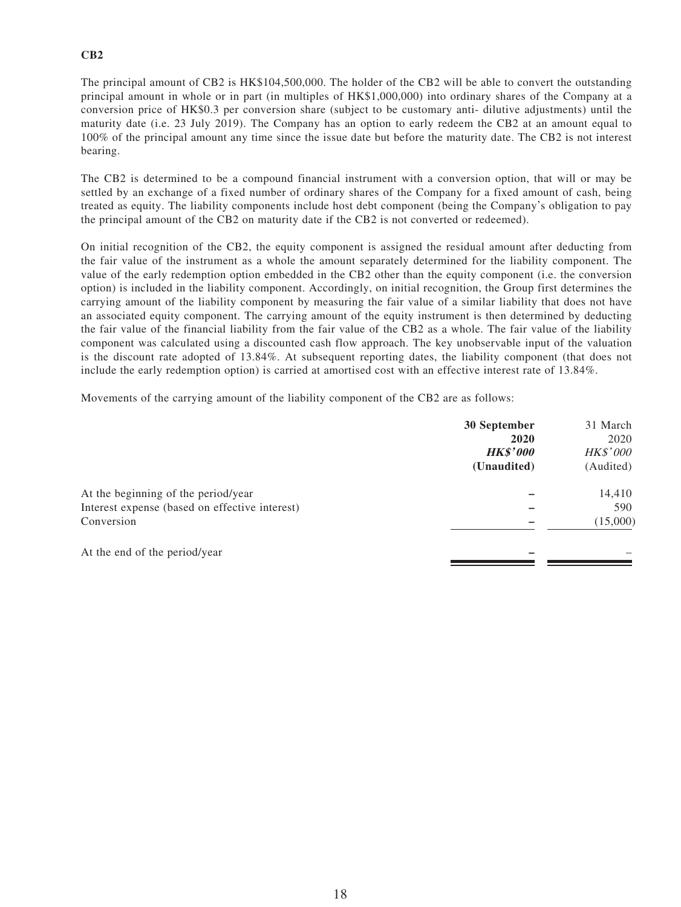### **CB2**

The principal amount of CB2 is HK\$104,500,000. The holder of the CB2 will be able to convert the outstanding principal amount in whole or in part (in multiples of HK\$1,000,000) into ordinary shares of the Company at a conversion price of HK\$0.3 per conversion share (subject to be customary anti- dilutive adjustments) until the maturity date (i.e. 23 July 2019). The Company has an option to early redeem the CB2 at an amount equal to 100% of the principal amount any time since the issue date but before the maturity date. The CB2 is not interest bearing.

The CB2 is determined to be a compound financial instrument with a conversion option, that will or may be settled by an exchange of a fixed number of ordinary shares of the Company for a fixed amount of cash, being treated as equity. The liability components include host debt component (being the Company's obligation to pay the principal amount of the CB2 on maturity date if the CB2 is not converted or redeemed).

On initial recognition of the CB2, the equity component is assigned the residual amount after deducting from the fair value of the instrument as a whole the amount separately determined for the liability component. The value of the early redemption option embedded in the CB2 other than the equity component (i.e. the conversion option) is included in the liability component. Accordingly, on initial recognition, the Group first determines the carrying amount of the liability component by measuring the fair value of a similar liability that does not have an associated equity component. The carrying amount of the equity instrument is then determined by deducting the fair value of the financial liability from the fair value of the CB2 as a whole. The fair value of the liability component was calculated using a discounted cash flow approach. The key unobservable input of the valuation is the discount rate adopted of 13.84%. At subsequent reporting dates, the liability component (that does not include the early redemption option) is carried at amortised cost with an effective interest rate of 13.84%.

Movements of the carrying amount of the liability component of the CB2 are as follows:

|                                                                                                     | 30 September<br>2020<br><b>HK\$'000</b><br>(Unaudited) | 31 March<br>2020<br><b>HK\$'000</b><br>(Audited) |
|-----------------------------------------------------------------------------------------------------|--------------------------------------------------------|--------------------------------------------------|
| At the beginning of the period/year<br>Interest expense (based on effective interest)<br>Conversion |                                                        | 14,410<br>590<br>(15,000)                        |
| At the end of the period/year                                                                       |                                                        |                                                  |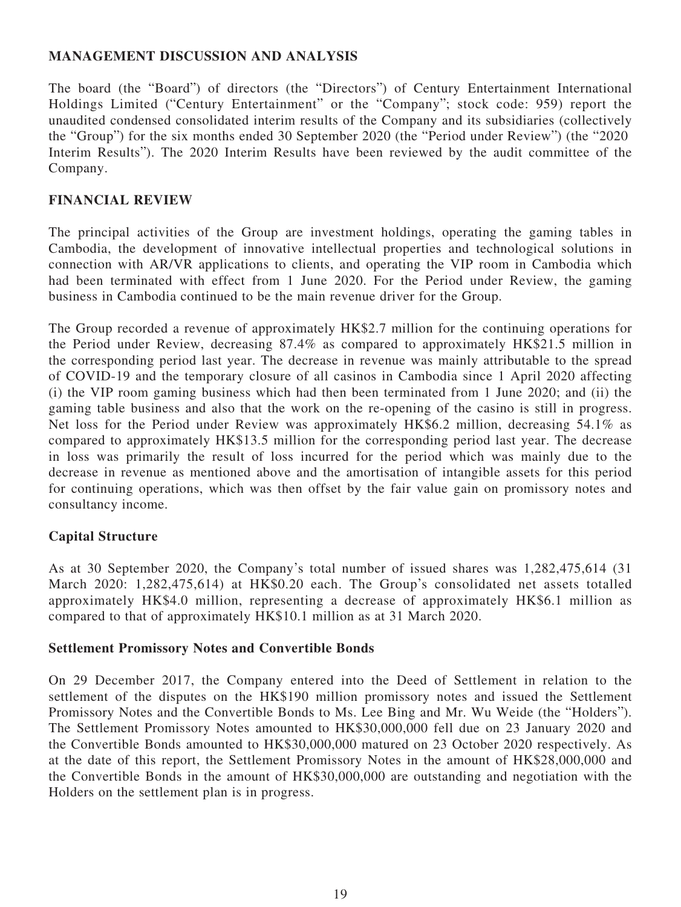# **MANAGEMENT DISCUSSION AND ANALYSIS**

The board (the "Board") of directors (the "Directors") of Century Entertainment International Holdings Limited ("Century Entertainment" or the "Company"; stock code: 959) report the unaudited condensed consolidated interim results of the Company and its subsidiaries (collectively the "Group") for the six months ended 30 September 2020 (the "Period under Review") (the "2020 Interim Results"). The 2020 Interim Results have been reviewed by the audit committee of the Company.

### **FINANCIAL REVIEW**

The principal activities of the Group are investment holdings, operating the gaming tables in Cambodia, the development of innovative intellectual properties and technological solutions in connection with AR/VR applications to clients, and operating the VIP room in Cambodia which had been terminated with effect from 1 June 2020. For the Period under Review, the gaming business in Cambodia continued to be the main revenue driver for the Group.

The Group recorded a revenue of approximately HK\$2.7 million for the continuing operations for the Period under Review, decreasing 87.4% as compared to approximately HK\$21.5 million in the corresponding period last year. The decrease in revenue was mainly attributable to the spread of COVID-19 and the temporary closure of all casinos in Cambodia since 1 April 2020 affecting (i) the VIP room gaming business which had then been terminated from 1 June 2020; and (ii) the gaming table business and also that the work on the re-opening of the casino is still in progress. Net loss for the Period under Review was approximately HK\$6.2 million, decreasing 54.1% as compared to approximately HK\$13.5 million for the corresponding period last year. The decrease in loss was primarily the result of loss incurred for the period which was mainly due to the decrease in revenue as mentioned above and the amortisation of intangible assets for this period for continuing operations, which was then offset by the fair value gain on promissory notes and consultancy income.

### **Capital Structure**

As at 30 September 2020, the Company's total number of issued shares was 1,282,475,614 (31 March 2020: 1,282,475,614) at HK\$0.20 each. The Group's consolidated net assets totalled approximately HK\$4.0 million, representing a decrease of approximately HK\$6.1 million as compared to that of approximately HK\$10.1 million as at 31 March 2020.

### **Settlement Promissory Notes and Convertible Bonds**

On 29 December 2017, the Company entered into the Deed of Settlement in relation to the settlement of the disputes on the HK\$190 million promissory notes and issued the Settlement Promissory Notes and the Convertible Bonds to Ms. Lee Bing and Mr. Wu Weide (the "Holders"). The Settlement Promissory Notes amounted to HK\$30,000,000 fell due on 23 January 2020 and the Convertible Bonds amounted to HK\$30,000,000 matured on 23 October 2020 respectively. As at the date of this report, the Settlement Promissory Notes in the amount of HK\$28,000,000 and the Convertible Bonds in the amount of HK\$30,000,000 are outstanding and negotiation with the Holders on the settlement plan is in progress.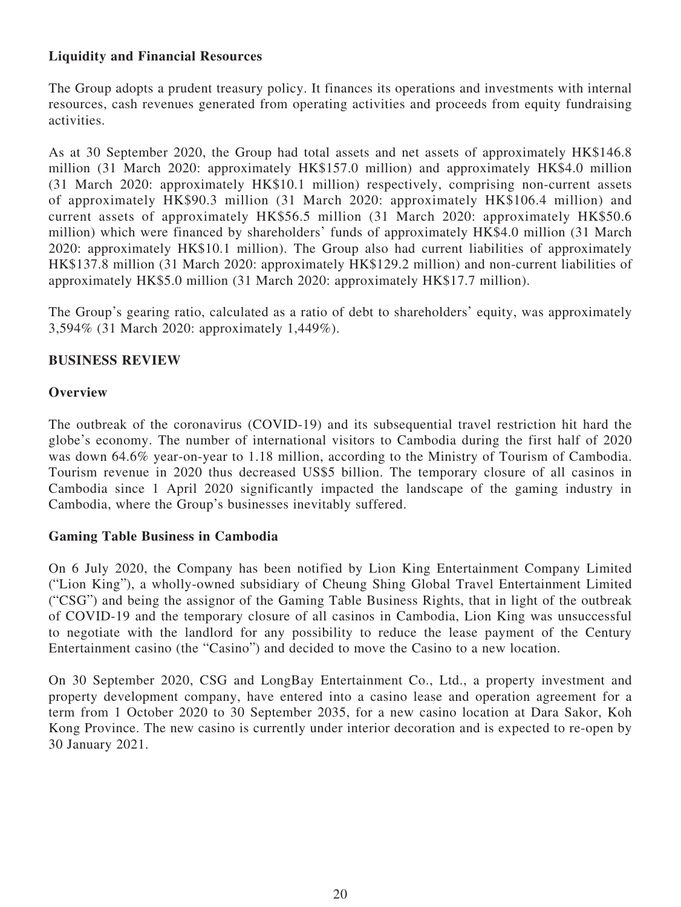# **Liquidity and Financial Resources**

The Group adopts a prudent treasury policy. It finances its operations and investments with internal resources, cash revenues generated from operating activities and proceeds from equity fundraising activities.

As at 30 September 2020, the Group had total assets and net assets of approximately HK\$146.8 million (31 March 2020: approximately HK\$157.0 million) and approximately HK\$4.0 million (31 March 2020: approximately HK\$10.1 million) respectively, comprising non-current assets of approximately HK\$90.3 million (31 March 2020: approximately HK\$106.4 million) and current assets of approximately HK\$56.5 million (31 March 2020: approximately HK\$50.6 million) which were financed by shareholders' funds of approximately HK\$4.0 million (31 March 2020: approximately HK\$10.1 million). The Group also had current liabilities of approximately HK\$137.8 million (31 March 2020: approximately HK\$129.2 million) and non-current liabilities of approximately HK\$5.0 million (31 March 2020: approximately HK\$17.7 million).

The Group's gearing ratio, calculated as a ratio of debt to shareholders' equity, was approximately 3,594% (31 March 2020: approximately 1,449%).

### **BUSINESS REVIEW**

### **Overview**

The outbreak of the coronavirus (COVID-19) and its subsequential travel restriction hit hard the globe's economy. The number of international visitors to Cambodia during the first half of 2020 was down 64.6% year-on-year to 1.18 million, according to the Ministry of Tourism of Cambodia. Tourism revenue in 2020 thus decreased US\$5 billion. The temporary closure of all casinos in Cambodia since 1 April 2020 significantly impacted the landscape of the gaming industry in Cambodia, where the Group's businesses inevitably suffered.

### **Gaming Table Business in Cambodia**

On 6 July 2020, the Company has been notified by Lion King Entertainment Company Limited ("Lion King"), a wholly-owned subsidiary of Cheung Shing Global Travel Entertainment Limited ("CSG") and being the assignor of the Gaming Table Business Rights, that in light of the outbreak of COVID-19 and the temporary closure of all casinos in Cambodia, Lion King was unsuccessful to negotiate with the landlord for any possibility to reduce the lease payment of the Century Entertainment casino (the "Casino") and decided to move the Casino to a new location.

On 30 September 2020, CSG and LongBay Entertainment Co., Ltd., a property investment and property development company, have entered into a casino lease and operation agreement for a term from 1 October 2020 to 30 September 2035, for a new casino location at Dara Sakor, Koh Kong Province. The new casino is currently under interior decoration and is expected to re-open by 30 January 2021.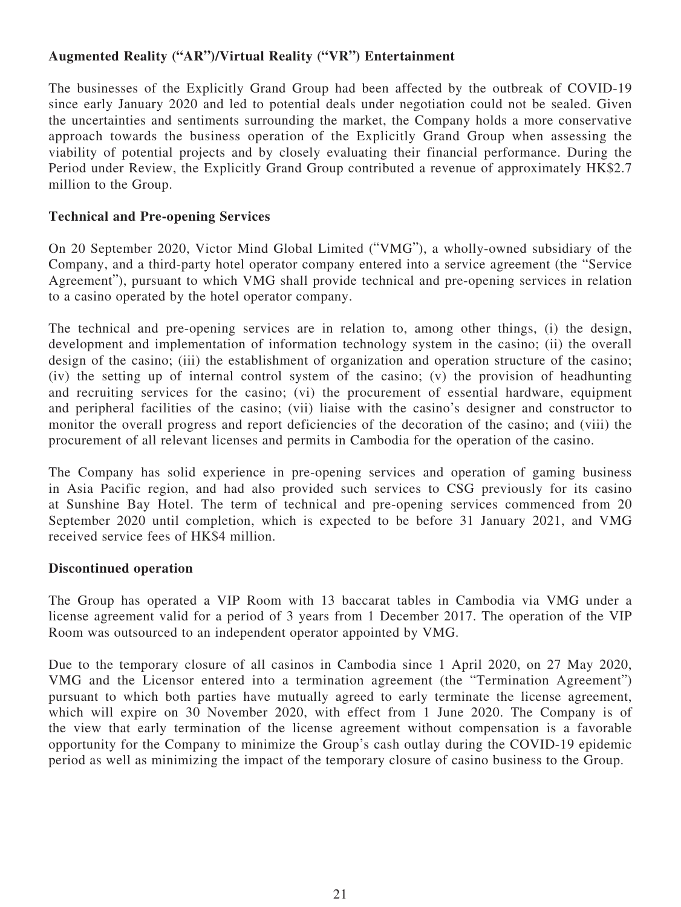# **Augmented Reality ("AR")/Virtual Reality ("VR") Entertainment**

The businesses of the Explicitly Grand Group had been affected by the outbreak of COVID-19 since early January 2020 and led to potential deals under negotiation could not be sealed. Given the uncertainties and sentiments surrounding the market, the Company holds a more conservative approach towards the business operation of the Explicitly Grand Group when assessing the viability of potential projects and by closely evaluating their financial performance. During the Period under Review, the Explicitly Grand Group contributed a revenue of approximately HK\$2.7 million to the Group.

# **Technical and Pre-opening Services**

On 20 September 2020, Victor Mind Global Limited ("VMG"), a wholly-owned subsidiary of the Company, and a third-party hotel operator company entered into a service agreement (the "Service Agreement"), pursuant to which VMG shall provide technical and pre-opening services in relation to a casino operated by the hotel operator company.

The technical and pre-opening services are in relation to, among other things, (i) the design, development and implementation of information technology system in the casino; (ii) the overall design of the casino; (iii) the establishment of organization and operation structure of the casino; (iv) the setting up of internal control system of the casino; (v) the provision of headhunting and recruiting services for the casino; (vi) the procurement of essential hardware, equipment and peripheral facilities of the casino; (vii) liaise with the casino's designer and constructor to monitor the overall progress and report deficiencies of the decoration of the casino; and (viii) the procurement of all relevant licenses and permits in Cambodia for the operation of the casino.

The Company has solid experience in pre-opening services and operation of gaming business in Asia Pacific region, and had also provided such services to CSG previously for its casino at Sunshine Bay Hotel. The term of technical and pre-opening services commenced from 20 September 2020 until completion, which is expected to be before 31 January 2021, and VMG received service fees of HK\$4 million.

# **Discontinued operation**

The Group has operated a VIP Room with 13 baccarat tables in Cambodia via VMG under a license agreement valid for a period of 3 years from 1 December 2017. The operation of the VIP Room was outsourced to an independent operator appointed by VMG.

Due to the temporary closure of all casinos in Cambodia since 1 April 2020, on 27 May 2020, VMG and the Licensor entered into a termination agreement (the "Termination Agreement") pursuant to which both parties have mutually agreed to early terminate the license agreement, which will expire on 30 November 2020, with effect from 1 June 2020. The Company is of the view that early termination of the license agreement without compensation is a favorable opportunity for the Company to minimize the Group's cash outlay during the COVID-19 epidemic period as well as minimizing the impact of the temporary closure of casino business to the Group.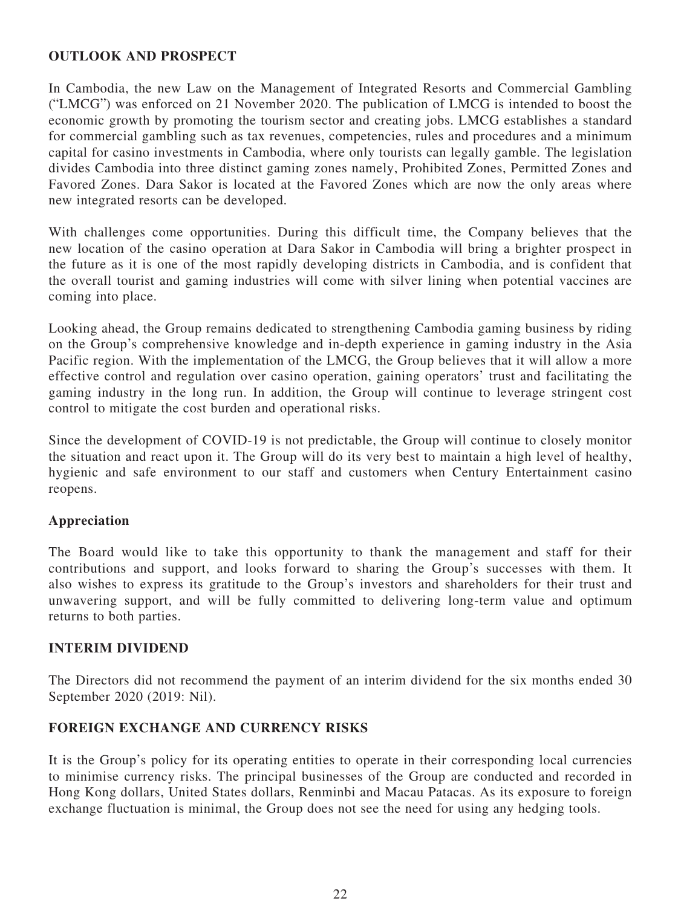### **OUTLOOK AND PROSPECT**

In Cambodia, the new Law on the Management of Integrated Resorts and Commercial Gambling ("LMCG") was enforced on 21 November 2020. The publication of LMCG is intended to boost the economic growth by promoting the tourism sector and creating jobs. LMCG establishes a standard for commercial gambling such as tax revenues, competencies, rules and procedures and a minimum capital for casino investments in Cambodia, where only tourists can legally gamble. The legislation divides Cambodia into three distinct gaming zones namely, Prohibited Zones, Permitted Zones and Favored Zones. Dara Sakor is located at the Favored Zones which are now the only areas where new integrated resorts can be developed.

With challenges come opportunities. During this difficult time, the Company believes that the new location of the casino operation at Dara Sakor in Cambodia will bring a brighter prospect in the future as it is one of the most rapidly developing districts in Cambodia, and is confident that the overall tourist and gaming industries will come with silver lining when potential vaccines are coming into place.

Looking ahead, the Group remains dedicated to strengthening Cambodia gaming business by riding on the Group's comprehensive knowledge and in-depth experience in gaming industry in the Asia Pacific region. With the implementation of the LMCG, the Group believes that it will allow a more effective control and regulation over casino operation, gaining operators' trust and facilitating the gaming industry in the long run. In addition, the Group will continue to leverage stringent cost control to mitigate the cost burden and operational risks.

Since the development of COVID-19 is not predictable, the Group will continue to closely monitor the situation and react upon it. The Group will do its very best to maintain a high level of healthy, hygienic and safe environment to our staff and customers when Century Entertainment casino reopens.

# **Appreciation**

The Board would like to take this opportunity to thank the management and staff for their contributions and support, and looks forward to sharing the Group's successes with them. It also wishes to express its gratitude to the Group's investors and shareholders for their trust and unwavering support, and will be fully committed to delivering long-term value and optimum returns to both parties.

# **INTERIM DIVIDEND**

The Directors did not recommend the payment of an interim dividend for the six months ended 30 September 2020 (2019: Nil).

# **FOREIGN EXCHANGE AND CURRENCY RISKS**

It is the Group's policy for its operating entities to operate in their corresponding local currencies to minimise currency risks. The principal businesses of the Group are conducted and recorded in Hong Kong dollars, United States dollars, Renminbi and Macau Patacas. As its exposure to foreign exchange fluctuation is minimal, the Group does not see the need for using any hedging tools.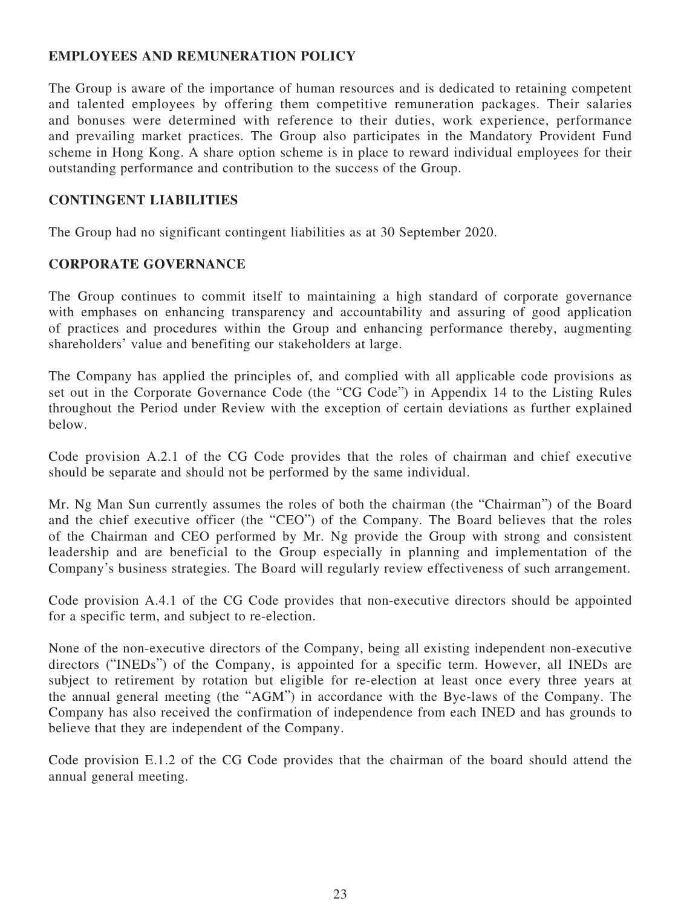# **EMPLOYEES AND REMUNERATION POLICY**

The Group is aware of the importance of human resources and is dedicated to retaining competent and talented employees by offering them competitive remuneration packages. Their salaries and bonuses were determined with reference to their duties, work experience, performance and prevailing market practices. The Group also participates in the Mandatory Provident Fund scheme in Hong Kong. A share option scheme is in place to reward individual employees for their outstanding performance and contribution to the success of the Group.

### **CONTINGENT LIABILITIES**

The Group had no significant contingent liabilities as at 30 September 2020.

### **CORPORATE GOVERNANCE**

The Group continues to commit itself to maintaining a high standard of corporate governance with emphases on enhancing transparency and accountability and assuring of good application of practices and procedures within the Group and enhancing performance thereby, augmenting shareholders' value and benefiting our stakeholders at large.

The Company has applied the principles of, and complied with all applicable code provisions as set out in the Corporate Governance Code (the "CG Code") in Appendix 14 to the Listing Rules throughout the Period under Review with the exception of certain deviations as further explained below.

Code provision A.2.1 of the CG Code provides that the roles of chairman and chief executive should be separate and should not be performed by the same individual.

Mr. Ng Man Sun currently assumes the roles of both the chairman (the "Chairman") of the Board and the chief executive officer (the "CEO") of the Company. The Board believes that the roles of the Chairman and CEO performed by Mr. Ng provide the Group with strong and consistent leadership and are beneficial to the Group especially in planning and implementation of the Company's business strategies. The Board will regularly review effectiveness of such arrangement.

Code provision A.4.1 of the CG Code provides that non-executive directors should be appointed for a specific term, and subject to re-election.

None of the non-executive directors of the Company, being all existing independent non-executive directors ("INEDs") of the Company, is appointed for a specific term. However, all INEDs are subject to retirement by rotation but eligible for re-election at least once every three years at the annual general meeting (the "AGM") in accordance with the Bye-laws of the Company. The Company has also received the confirmation of independence from each INED and has grounds to believe that they are independent of the Company.

Code provision E.1.2 of the CG Code provides that the chairman of the board should attend the annual general meeting.